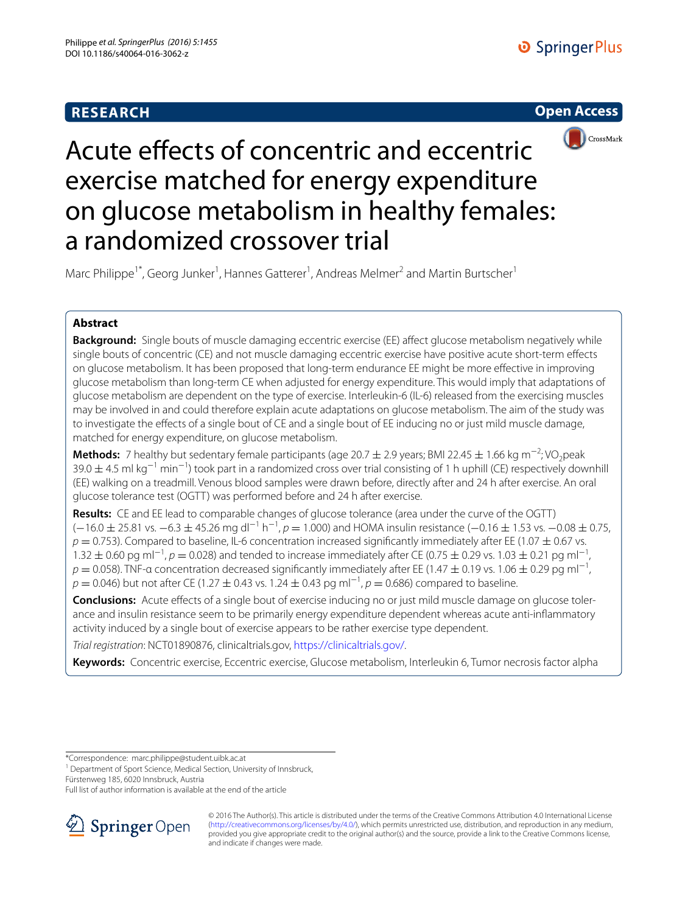# **RESEARCH**





# Acute effects of concentric and eccentric exercise matched for energy expenditure on glucose metabolism in healthy females: a randomized crossover trial

Marc Philippe<sup>1\*</sup>, Georg Junker<sup>1</sup>, Hannes Gatterer<sup>1</sup>, Andreas Melmer<sup>2</sup> and Martin Burtscher<sup>1</sup>

## **Abstract**

**Background:** Single bouts of muscle damaging eccentric exercise (EE) affect glucose metabolism negatively while single bouts of concentric (CE) and not muscle damaging eccentric exercise have positive acute short-term effects on glucose metabolism. It has been proposed that long-term endurance EE might be more effective in improving glucose metabolism than long-term CE when adjusted for energy expenditure. This would imply that adaptations of glucose metabolism are dependent on the type of exercise. Interleukin-6 (IL-6) released from the exercising muscles may be involved in and could therefore explain acute adaptations on glucose metabolism. The aim of the study was to investigate the effects of a single bout of CE and a single bout of EE inducing no or just mild muscle damage, matched for energy expenditure, on glucose metabolism.

**Methods:** 7 healthy but sedentary female participants (age 20.7 ± 2.9 years; BMI 22.45 ± 1.66 kg m<sup>-2</sup>; VO<sub>2</sub>peak  $39.0 \pm 4.5$  ml kg<sup>-1</sup> min<sup>-1</sup>) took part in a randomized cross over trial consisting of 1 h uphill (CE) respectively downhill (EE) walking on a treadmill. Venous blood samples were drawn before, directly after and 24 h after exercise. An oral glucose tolerance test (OGTT) was performed before and 24 h after exercise.

**Results:** CE and EE lead to comparable changes of glucose tolerance (area under the curve of the OGTT) (−16.0 ± 25.81 vs. −6.3 ± 45.26 mg dl<sup>−1</sup> h<sup>-1</sup>, *p* = 1.000) and HOMA insulin resistance (−0.16 ± 1.53 vs. −0.08 ± 0.75,  $p = 0.753$ ). Compared to baseline, IL-6 concentration increased significantly immediately after EE (1.07  $\pm$  0.67 vs. 1.32 ± 0.60 pg ml<sup>-1</sup>,  $p = 0.028$ ) and tended to increase immediately after CE (0.75 ± 0.29 vs. 1.03 ± 0.21 pg ml<sup>-1</sup>,  $p = 0.058$ ). TNF-a concentration decreased significantly immediately after EE (1.47  $\pm$  0.19 vs. 1.06  $\pm$  0.29 pg ml<sup>-1</sup>, *p* = 0.046) but not after CE (1.27 ± 0.43 vs. 1.24 ± 0.43 pg ml<sup>-1</sup>, *p* = 0.686) compared to baseline.

**Conclusions:** Acute effects of a single bout of exercise inducing no or just mild muscle damage on glucose tolerance and insulin resistance seem to be primarily energy expenditure dependent whereas acute anti-inflammatory activity induced by a single bout of exercise appears to be rather exercise type dependent.

*Trial registration*: NCT01890876, clinicaltrials.gov,<https://clinicaltrials.gov/>.

**Keywords:** Concentric exercise, Eccentric exercise, Glucose metabolism, Interleukin 6, Tumor necrosis factor alpha

\*Correspondence: marc.philippe@student.uibk.ac.at

<sup>1</sup> Department of Sport Science, Medical Section, University of Innsbruck,

Fürstenweg 185, 6020 Innsbruck, Austria

Full list of author information is available at the end of the article



© 2016 The Author(s). This article is distributed under the terms of the Creative Commons Attribution 4.0 International License [\(http://creativecommons.org/licenses/by/4.0/\)](http://creativecommons.org/licenses/by/4.0/), which permits unrestricted use, distribution, and reproduction in any medium, provided you give appropriate credit to the original author(s) and the source, provide a link to the Creative Commons license, and indicate if changes were made.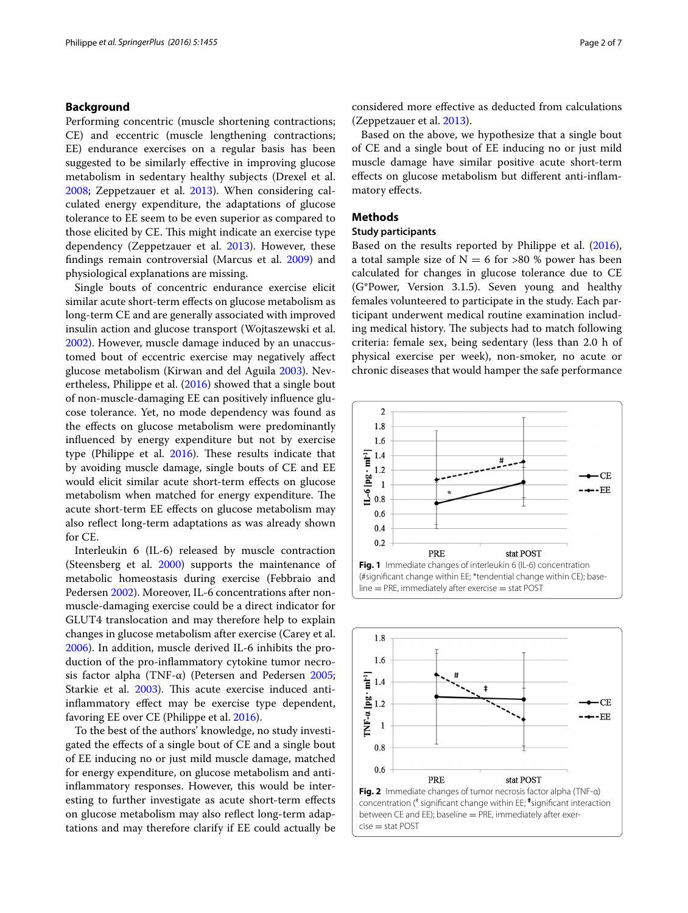## **Background**

Performing concentric (muscle shortening contractions; CE) and eccentric (muscle lengthening contractions; EE) endurance exercises on a regular basis has been suggested to be similarly effective in improving glucose metabolism in sedentary healthy subjects (Drexel et al. [2008](#page-5-0); Zeppetzauer et al. [2013](#page-6-0)). When considering calculated energy expenditure, the adaptations of glucose tolerance to EE seem to be even superior as compared to those elicited by CE. This might indicate an exercise type dependency (Zeppetzauer et al. [2013](#page-6-0)). However, these findings remain controversial (Marcus et al. [2009\)](#page-5-1) and physiological explanations are missing.

Single bouts of concentric endurance exercise elicit similar acute short-term effects on glucose metabolism as long-term CE and are generally associated with improved insulin action and glucose transport (Wojtaszewski et al. [2002](#page-6-1)). However, muscle damage induced by an unaccustomed bout of eccentric exercise may negatively affect glucose metabolism (Kirwan and del Aguila [2003\)](#page-5-2). Nevertheless, Philippe et al. ([2016\)](#page-5-3) showed that a single bout of non-muscle-damaging EE can positively influence glucose tolerance. Yet, no mode dependency was found as the effects on glucose metabolism were predominantly influenced by energy expenditure but not by exercise type (Philippe et al. [2016\)](#page-5-3). These results indicate that by avoiding muscle damage, single bouts of CE and EE would elicit similar acute short-term effects on glucose metabolism when matched for energy expenditure. The acute short-term EE effects on glucose metabolism may also reflect long-term adaptations as was already shown for CE.

Interleukin 6 (IL-6) released by muscle contraction (Steensberg et al. [2000\)](#page-6-2) supports the maintenance of metabolic homeostasis during exercise (Febbraio and Pedersen [2002\)](#page-5-4). Moreover, IL-6 concentrations after nonmuscle-damaging exercise could be a direct indicator for GLUT4 translocation and may therefore help to explain changes in glucose metabolism after exercise (Carey et al. [2006](#page-5-5)). In addition, muscle derived IL-6 inhibits the production of the pro-inflammatory cytokine tumor necro-sis factor alpha (TNF-α) (Petersen and Pedersen [2005](#page-5-6); Starkie et al. [2003\)](#page-6-3). This acute exercise induced antiinflammatory effect may be exercise type dependent, favoring EE over CE (Philippe et al. [2016\)](#page-5-3).

To the best of the authors' knowledge, no study investigated the effects of a single bout of CE and a single bout of EE inducing no or just mild muscle damage, matched for energy expenditure, on glucose metabolism and antiinflammatory responses. However, this would be interesting to further investigate as acute short-term effects on glucose metabolism may also reflect long-term adaptations and may therefore clarify if EE could actually be considered more effective as deducted from calculations (Zeppetzauer et al. [2013](#page-6-0)).

Based on the above, we hypothesize that a single bout of CE and a single bout of EE inducing no or just mild muscle damage have similar positive acute short-term effects on glucose metabolism but different anti-inflammatory effects.

#### <span id="page-1-2"></span>**Methods**

## **Study participants**

Based on the results reported by Philippe et al. [\(2016](#page-5-3)), a total sample size of  $N = 6$  for >80 % power has been calculated for changes in glucose tolerance due to CE (G\*Power, Version 3.1.5). Seven young and healthy females volunteered to participate in the study. Each participant underwent medical routine examination including medical history. The subjects had to match following criteria: female sex, being sedentary (less than 2.0 h of physical exercise per week), non-smoker, no acute or chronic diseases that would hamper the safe performance



<span id="page-1-1"></span><span id="page-1-0"></span>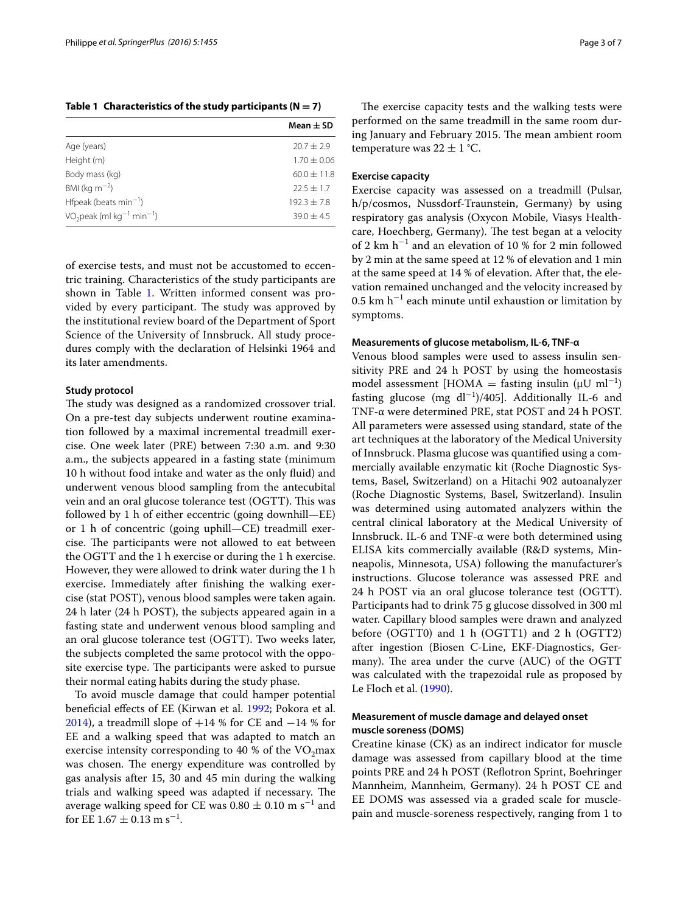<span id="page-2-0"></span>Table 1 Characteristics of the study participants  $(N = 7)$ 

|                                                    | Mean $\pm$ SD   |
|----------------------------------------------------|-----------------|
| Age (years)                                        | $20.7 + 2.9$    |
| Height (m)                                         | $1.70 \pm 0.06$ |
| Body mass (kg)                                     | $60.0 \pm 11.8$ |
| BMI (kg $m^{-2}$ )                                 | $22.5 \pm 1.7$  |
| Hfpeak (beats min <sup>-1</sup> )                  | $192.3 + 7.8$   |
| $VO2peak$ (ml kg <sup>-1</sup> min <sup>-1</sup> ) | $39.0 + 4.5$    |

of exercise tests, and must not be accustomed to eccentric training. Characteristics of the study participants are shown in Table [1.](#page-2-0) Written informed consent was provided by every participant. The study was approved by the institutional review board of the Department of Sport Science of the University of Innsbruck. All study procedures comply with the declaration of Helsinki 1964 and its later amendments.

## **Study protocol**

The study was designed as a randomized crossover trial. On a pre-test day subjects underwent routine examination followed by a maximal incremental treadmill exercise. One week later (PRE) between 7:30 a.m. and 9:30 a.m., the subjects appeared in a fasting state (minimum 10 h without food intake and water as the only fluid) and underwent venous blood sampling from the antecubital vein and an oral glucose tolerance test (OGTT). This was followed by 1 h of either eccentric (going downhill—EE) or 1 h of concentric (going uphill—CE) treadmill exercise. The participants were not allowed to eat between the OGTT and the 1 h exercise or during the 1 h exercise. However, they were allowed to drink water during the 1 h exercise. Immediately after finishing the walking exercise (stat POST), venous blood samples were taken again. 24 h later (24 h POST), the subjects appeared again in a fasting state and underwent venous blood sampling and an oral glucose tolerance test (OGTT). Two weeks later, the subjects completed the same protocol with the opposite exercise type. The participants were asked to pursue their normal eating habits during the study phase.

To avoid muscle damage that could hamper potential beneficial effects of EE (Kirwan et al. [1992](#page-5-7); Pokora et al. [2014](#page-6-4)), a treadmill slope of  $+14$  % for CE and  $-14$  % for EE and a walking speed that was adapted to match an exercise intensity corresponding to 40 % of the  $VO<sub>2</sub>max$ was chosen. The energy expenditure was controlled by gas analysis after 15, 30 and 45 min during the walking trials and walking speed was adapted if necessary. The average walking speed for CE was  $0.80 \pm 0.10$  m s<sup>−1</sup> and for EE  $1.67 \pm 0.13$  m s<sup>-1</sup>.

The exercise capacity tests and the walking tests were performed on the same treadmill in the same room during January and February 2015. The mean ambient room temperature was  $22 \pm 1$  °C.

## **Exercise capacity**

Exercise capacity was assessed on a treadmill (Pulsar, h/p/cosmos, Nussdorf-Traunstein, Germany) by using respiratory gas analysis (Oxycon Mobile, Viasys Healthcare, Hoechberg, Germany). The test began at a velocity of 2 km h<sup>−</sup><sup>1</sup> and an elevation of 10 % for 2 min followed by 2 min at the same speed at 12 % of elevation and 1 min at the same speed at 14 % of elevation. After that, the elevation remained unchanged and the velocity increased by 0.5 km h<sup>−</sup><sup>1</sup> each minute until exhaustion or limitation by symptoms.

#### **Measurements of glucose metabolism, IL‑6, TNF‑α**

Venous blood samples were used to assess insulin sensitivity PRE and 24 h POST by using the homeostasis model assessment [HOMA = fasting insulin  $(\mu U \text{ ml}^{-1})$ ] fasting glucose (mg  $dl^{-1}$ )/405]. Additionally IL-6 and TNF-α were determined PRE, stat POST and 24 h POST. All parameters were assessed using standard, state of the art techniques at the laboratory of the Medical University of Innsbruck. Plasma glucose was quantified using a commercially available enzymatic kit (Roche Diagnostic Systems, Basel, Switzerland) on a Hitachi 902 autoanalyzer (Roche Diagnostic Systems, Basel, Switzerland). Insulin was determined using automated analyzers within the central clinical laboratory at the Medical University of Innsbruck. IL-6 and TNF-α were both determined using ELISA kits commercially available (R&D systems, Minneapolis, Minnesota, USA) following the manufacturer's instructions. Glucose tolerance was assessed PRE and 24 h POST via an oral glucose tolerance test (OGTT). Participants had to drink 75 g glucose dissolved in 300 ml water. Capillary blood samples were drawn and analyzed before (OGTT0) and 1 h (OGTT1) and 2 h (OGTT2) after ingestion (Biosen C-Line, EKF-Diagnostics, Germany). The area under the curve (AUC) of the OGTT was calculated with the trapezoidal rule as proposed by Le Floch et al. ([1990\)](#page-5-8).

## **Measurement of muscle damage and delayed onset muscle soreness (DOMS)**

Creatine kinase (CK) as an indirect indicator for muscle damage was assessed from capillary blood at the time points PRE and 24 h POST (Reflotron Sprint, Boehringer Mannheim, Mannheim, Germany). 24 h POST CE and EE DOMS was assessed via a graded scale for musclepain and muscle-soreness respectively, ranging from 1 to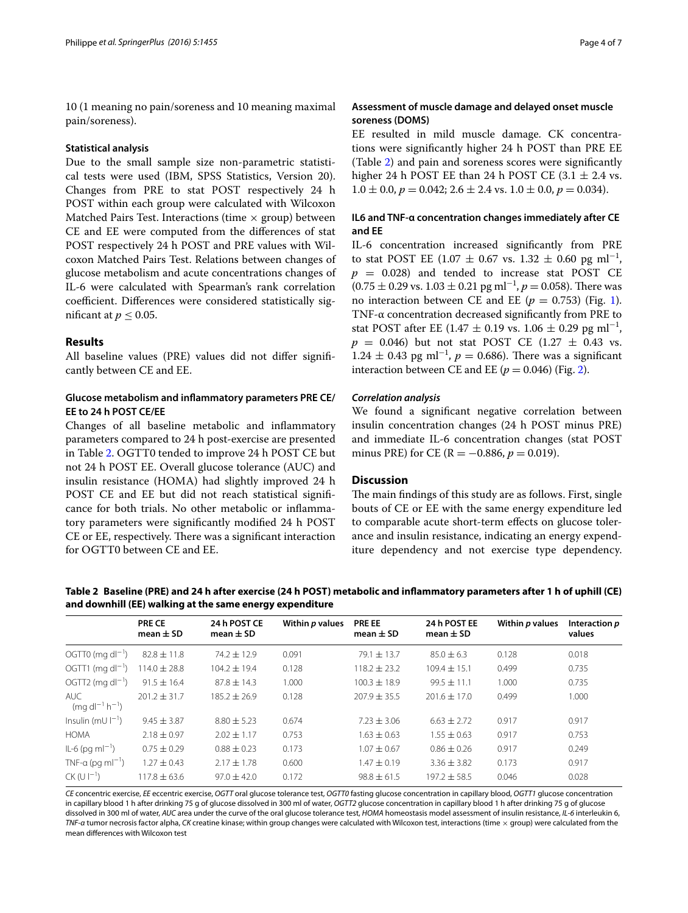10 (1 meaning no pain/soreness and 10 meaning maximal pain/soreness).

## **Statistical analysis**

Due to the small sample size non-parametric statistical tests were used (IBM, SPSS Statistics, Version 20). Changes from PRE to stat POST respectively 24 h POST within each group were calculated with Wilcoxon Matched Pairs Test. Interactions (time  $\times$  group) between CE and EE were computed from the differences of stat POST respectively 24 h POST and PRE values with Wilcoxon Matched Pairs Test. Relations between changes of glucose metabolism and acute concentrations changes of IL-6 were calculated with Spearman's rank correlation coefficient. Differences were considered statistically significant at  $p \leq 0.05$ .

#### **Results**

All baseline values (PRE) values did not differ significantly between CE and EE.

## **Glucose metabolism and inflammatory parameters PRE CE/ EE to 24 h POST CE/EE**

Changes of all baseline metabolic and inflammatory parameters compared to 24 h post-exercise are presented in Table [2.](#page-3-0) OGTT0 tended to improve 24 h POST CE but not 24 h POST EE. Overall glucose tolerance (AUC) and insulin resistance (HOMA) had slightly improved 24 h POST CE and EE but did not reach statistical significance for both trials. No other metabolic or inflammatory parameters were significantly modified 24 h POST CE or EE, respectively. There was a significant interaction for OGTT0 between CE and EE.

## **Assessment of muscle damage and delayed onset muscle soreness (DOMS)**

EE resulted in mild muscle damage. CK concentrations were significantly higher 24 h POST than PRE EE (Table [2](#page-3-0)) and pain and soreness scores were significantly higher 24 h POST EE than 24 h POST CE  $(3.1 \pm 2.4 \text{ vs.})$  $1.0 \pm 0.0$ ,  $p = 0.042$ ;  $2.6 \pm 2.4$  vs.  $1.0 \pm 0.0$ ,  $p = 0.034$ ).

## **IL6 and TNF‑α concentration changes immediately after CE and EE**

IL-6 concentration increased significantly from PRE to stat POST EE (1.07  $\pm$  0.67 vs. 1.32  $\pm$  0.60 pg ml<sup>-1</sup>,  $p = 0.028$  and tended to increase stat POST CE  $(0.75 \pm 0.29 \text{ vs. } 1.03 \pm 0.21 \text{ pg m}l^{-1}, p = 0.058)$ . There was no interaction between CE and EE ( $p = 0.753$ ) (Fig. [1](#page-1-0)). TNF-α concentration decreased significantly from PRE to stat POST after EE (1.47  $\pm$  0.19 vs. 1.06  $\pm$  0.29 pg ml<sup>-1</sup>,  $p = 0.046$ ) but not stat POST CE (1.27  $\pm$  0.43 vs.  $1.24 \pm 0.43$  pg ml<sup>-1</sup>,  $p = 0.686$ ). There was a significant interaction between CE and EE  $(p = 0.046)$  (Fig. [2](#page-1-1)).

## *Correlation analysis*

We found a significant negative correlation between insulin concentration changes (24 h POST minus PRE) and immediate IL-6 concentration changes (stat POST minus PRE) for CE (R =  $-0.886$ ,  $p = 0.019$ ).

## **Discussion**

The main findings of this study are as follows. First, single bouts of CE or EE with the same energy expenditure led to comparable acute short-term effects on glucose tolerance and insulin resistance, indicating an energy expenditure dependency and not exercise type dependency.

|                                     | <b>PRE CE</b><br>mean $\pm$ SD | 24 h POST CE<br>mean $\pm$ SD | Within p values | <b>PRE EE</b><br>mean $\pm$ SD | 24 h POST EE<br>mean $\pm$ SD | Within p values | Interaction p<br>values |
|-------------------------------------|--------------------------------|-------------------------------|-----------------|--------------------------------|-------------------------------|-----------------|-------------------------|
| OGTT0 (mg dl <sup>-1</sup> )        | $82.8 \pm 11.8$                | $74.2 \pm 12.9$               | 0.091           | 79.1 $\pm$ 13.7                | $85.0 \pm 6.3$                | 0.128           | 0.018                   |
| OGTT1 (mg dl <sup>-1</sup> )        | $114.0 \pm 28.8$               | $104.2 \pm 19.4$              | 0.128           | $118.2 \pm 23.2$               | $109.4 \pm 15.1$              | 0.499           | 0.735                   |
| OGTT2 (mg dl <sup>-1</sup> )        | $91.5 \pm 16.4$                | $87.8 \pm 14.3$               | 1.000           | $100.3 \pm 18.9$               | $99.5 \pm 11.1$               | 1.000           | 0.735                   |
| AUC.<br>$(mq d l^{-1} h^{-1})$      | $201.2 \pm 31.7$               | $185.2 + 26.9$                | 0.128           | $207.9 + 35.5$                 | $201.6 \pm 17.0$              | 0.499           | 1.000                   |
| Insulin (mU $\vert$ <sup>-1</sup> ) | $9.45 \pm 3.87$                | $8.80 + 5.23$                 | 0.674           | $7.23 \pm 3.06$                | $6.63 \pm 2.72$               | 0.917           | 0.917                   |
| <b>HOMA</b>                         | $2.18 \pm 0.97$                | $2.02 \pm 1.17$               | 0.753           | $1.63 \pm 0.63$                | $1.55 \pm 0.63$               | 0.917           | 0.753                   |
| $IL-6$ (pg m $I^{-1}$ )             | $0.75 \pm 0.29$                | $0.88 \pm 0.23$               | 0.173           | $1.07 \pm 0.67$                | $0.86 \pm 0.26$               | 0.917           | 0.249                   |
| TNF-a (pg m $I^{-1}$ )              | $1.27 \pm 0.43$                | $2.17 \pm 1.78$               | 0.600           | $1.47 \pm 0.19$                | $3.36 \pm 3.82$               | 0.173           | 0.917                   |
| $CK$ (U $ -1$ )                     | $117.8 \pm 63.6$               | $97.0 \pm 42.0$               | 0.172           | $98.8 \pm 61.5$                | $197.2 \pm 58.5$              | 0.046           | 0.028                   |

<span id="page-3-0"></span>**Table 2 Baseline (PRE) and 24 h after exercise (24 h POST) metabolic and inflammatory parameters after 1 h of uphill (CE) and downhill (EE) walking at the same energy expenditure**

*CE* concentric exercise, *EE* eccentric exercise, *OGTT* oral glucose tolerance test, *OGTT0* fasting glucose concentration in capillary blood, *OGTT1* glucose concentration in capillary blood 1 h after drinking 75 g of glucose dissolved in 300 ml of water, *OGTT2* glucose concentration in capillary blood 1 h after drinking 75 g of glucose dissolved in 300 ml of water, *AUC* area under the curve of the oral glucose tolerance test, *HOMA* homeostasis model assessment of insulin resistance, *IL*-*6* interleukin 6, *TNF*-*α* tumor necrosis factor alpha, *CK* creatine kinase; within group changes were calculated with Wilcoxon test, interactions (time × group) were calculated from the mean differences with Wilcoxon test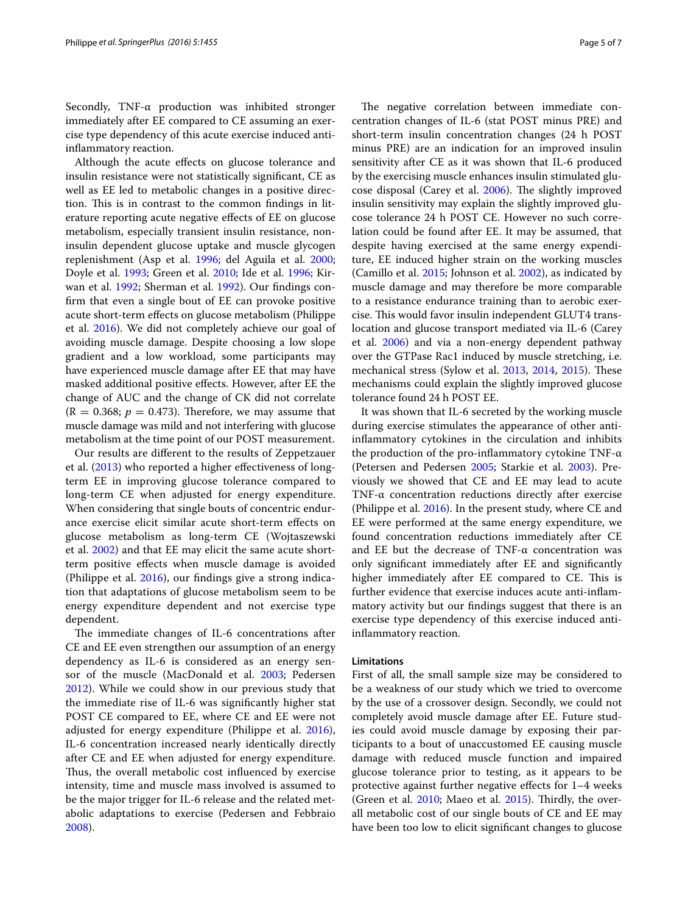Secondly, TNF-α production was inhibited stronger immediately after EE compared to CE assuming an exercise type dependency of this acute exercise induced antiinflammatory reaction.

Although the acute effects on glucose tolerance and insulin resistance were not statistically significant, CE as well as EE led to metabolic changes in a positive direction. This is in contrast to the common findings in literature reporting acute negative effects of EE on glucose metabolism, especially transient insulin resistance, noninsulin dependent glucose uptake and muscle glycogen replenishment (Asp et al. [1996;](#page-5-9) del Aguila et al. [2000](#page-5-10); Doyle et al. [1993;](#page-5-11) Green et al. [2010](#page-5-12); Ide et al. [1996;](#page-5-13) Kirwan et al. [1992;](#page-5-7) Sherman et al. [1992\)](#page-6-5). Our findings confirm that even a single bout of EE can provoke positive acute short-term effects on glucose metabolism (Philippe et al. [2016\)](#page-5-3). We did not completely achieve our goal of avoiding muscle damage. Despite choosing a low slope gradient and a low workload, some participants may have experienced muscle damage after EE that may have masked additional positive effects. However, after EE the change of AUC and the change of CK did not correlate  $(R = 0.368; p = 0.473)$ . Therefore, we may assume that muscle damage was mild and not interfering with glucose metabolism at the time point of our POST measurement.

Our results are different to the results of Zeppetzauer et al. [\(2013](#page-6-0)) who reported a higher effectiveness of longterm EE in improving glucose tolerance compared to long-term CE when adjusted for energy expenditure. When considering that single bouts of concentric endurance exercise elicit similar acute short-term effects on glucose metabolism as long-term CE (Wojtaszewski et al. [2002\)](#page-6-1) and that EE may elicit the same acute shortterm positive effects when muscle damage is avoided (Philippe et al. [2016](#page-5-3)), our findings give a strong indication that adaptations of glucose metabolism seem to be energy expenditure dependent and not exercise type dependent.

The immediate changes of IL-6 concentrations after CE and EE even strengthen our assumption of an energy dependency as IL-6 is considered as an energy sensor of the muscle (MacDonald et al. [2003;](#page-5-14) Pedersen [2012\)](#page-5-15). While we could show in our previous study that the immediate rise of IL-6 was significantly higher stat POST CE compared to EE, where CE and EE were not adjusted for energy expenditure (Philippe et al. [2016](#page-5-3)), IL-6 concentration increased nearly identically directly after CE and EE when adjusted for energy expenditure. Thus, the overall metabolic cost influenced by exercise intensity, time and muscle mass involved is assumed to be the major trigger for IL-6 release and the related metabolic adaptations to exercise (Pedersen and Febbraio [2008\)](#page-5-16).

The negative correlation between immediate concentration changes of IL-6 (stat POST minus PRE) and short-term insulin concentration changes (24 h POST minus PRE) are an indication for an improved insulin sensitivity after CE as it was shown that IL-6 produced by the exercising muscle enhances insulin stimulated glucose disposal (Carey et al. [2006](#page-5-5)). The slightly improved insulin sensitivity may explain the slightly improved glucose tolerance 24 h POST CE. However no such correlation could be found after EE. It may be assumed, that despite having exercised at the same energy expenditure, EE induced higher strain on the working muscles (Camillo et al. [2015](#page-5-17); Johnson et al. [2002\)](#page-5-18), as indicated by muscle damage and may therefore be more comparable to a resistance endurance training than to aerobic exercise. This would favor insulin independent GLUT4 translocation and glucose transport mediated via IL-6 (Carey et al. [2006\)](#page-5-5) and via a non-energy dependent pathway over the GTPase Rac1 induced by muscle stretching, i.e. mechanical stress (Sylow et al. [2013](#page-6-6), [2014,](#page-6-7) [2015\)](#page-6-8). These mechanisms could explain the slightly improved glucose tolerance found 24 h POST EE.

It was shown that IL-6 secreted by the working muscle during exercise stimulates the appearance of other antiinflammatory cytokines in the circulation and inhibits the production of the pro-inflammatory cytokine TNF-α (Petersen and Pedersen [2005;](#page-5-6) Starkie et al. [2003\)](#page-6-3). Previously we showed that CE and EE may lead to acute TNF-α concentration reductions directly after exercise (Philippe et al. [2016](#page-5-3)). In the present study, where CE and EE were performed at the same energy expenditure, we found concentration reductions immediately after CE and EE but the decrease of TNF- $\alpha$  concentration was only significant immediately after EE and significantly higher immediately after EE compared to CE. This is further evidence that exercise induces acute anti-inflammatory activity but our findings suggest that there is an exercise type dependency of this exercise induced antiinflammatory reaction.

## **Limitations**

First of all, the small sample size may be considered to be a weakness of our study which we tried to overcome by the use of a crossover design. Secondly, we could not completely avoid muscle damage after EE. Future studies could avoid muscle damage by exposing their participants to a bout of unaccustomed EE causing muscle damage with reduced muscle function and impaired glucose tolerance prior to testing, as it appears to be protective against further negative effects for 1–4 weeks (Green et al.  $2010$ ; Maeo et al.  $2015$ ). Thirdly, the overall metabolic cost of our single bouts of CE and EE may have been too low to elicit significant changes to glucose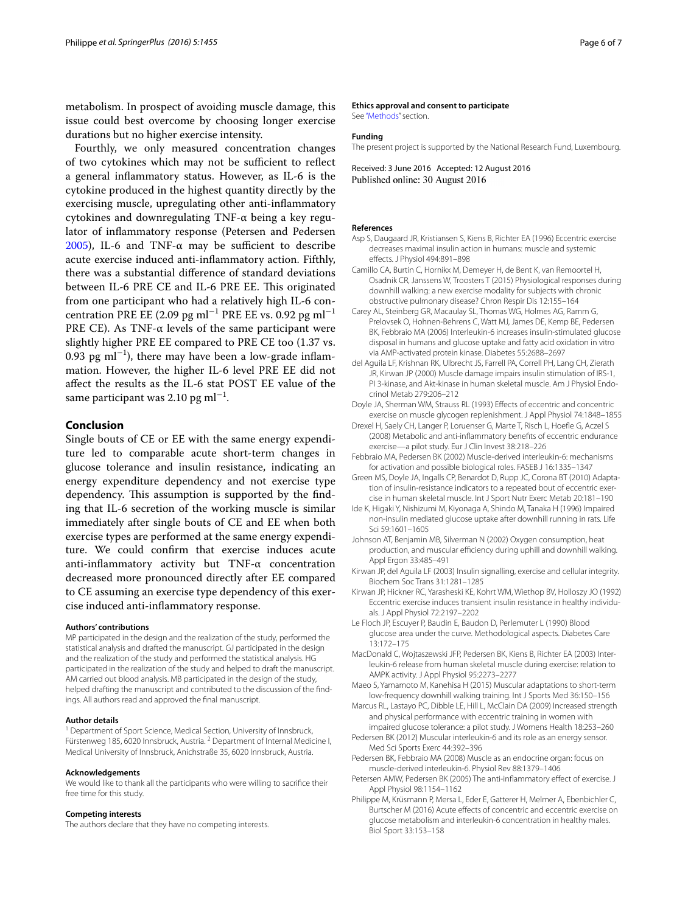metabolism. In prospect of avoiding muscle damage, this issue could best overcome by choosing longer exercise durations but no higher exercise intensity.

Fourthly, we only measured concentration changes of two cytokines which may not be sufficient to reflect a general inflammatory status. However, as IL-6 is the cytokine produced in the highest quantity directly by the exercising muscle, upregulating other anti-inflammatory cytokines and downregulating TNF-α being a key regulator of inflammatory response (Petersen and Pedersen [2005](#page-5-6)), IL-6 and TNF-α may be sufficient to describe acute exercise induced anti-inflammatory action. Fifthly, there was a substantial difference of standard deviations between IL-6 PRE CE and IL-6 PRE EE. This originated from one participant who had a relatively high IL-6 concentration PRE EE (2.09 pg ml<sup>−1</sup> PRE EE vs. 0.92 pg ml<sup>−1</sup> PRE CE). As TNF- $\alpha$  levels of the same participant were slightly higher PRE EE compared to PRE CE too (1.37 vs. 0.93 pg ml−<sup>1</sup> ), there may have been a low-grade inflammation. However, the higher IL-6 level PRE EE did not affect the results as the IL-6 stat POST EE value of the same participant was  $2.10$  pg ml $^{-1}$ .

## **Conclusion**

Single bouts of CE or EE with the same energy expenditure led to comparable acute short-term changes in glucose tolerance and insulin resistance, indicating an energy expenditure dependency and not exercise type dependency. This assumption is supported by the finding that IL-6 secretion of the working muscle is similar immediately after single bouts of CE and EE when both exercise types are performed at the same energy expenditure. We could confirm that exercise induces acute anti-inflammatory activity but TNF-α concentration decreased more pronounced directly after EE compared to CE assuming an exercise type dependency of this exercise induced anti-inflammatory response.

#### **Authors' contributions**

MP participated in the design and the realization of the study, performed the statistical analysis and drafted the manuscript. GJ participated in the design and the realization of the study and performed the statistical analysis. HG participated in the realization of the study and helped to draft the manuscript. AM carried out blood analysis. MB participated in the design of the study. helped drafting the manuscript and contributed to the discussion of the findings. All authors read and approved the final manuscript.

#### **Author details**

<sup>1</sup> Department of Sport Science, Medical Section, University of Innsbruck, Fürstenweg 185, 6020 Innsbruck, Austria.<sup>2</sup> Department of Internal Medicine I, Medical University of Innsbruck, Anichstraße 35, 6020 Innsbruck, Austria.

#### **Acknowledgements**

We would like to thank all the participants who were willing to sacrifice their free time for this study.

#### **Competing interests**

The authors declare that they have no competing interests.

#### **Ethics approval and consent to participate**

See ["Methods](#page-1-2)" section.

#### **Funding**

The present project is supported by the National Research Fund, Luxembourg.

Received: 3 June 2016 Accepted: 12 August 2016 Published online: 30 August 2016

#### **References**

- <span id="page-5-9"></span>Asp S, Daugaard JR, Kristiansen S, Kiens B, Richter EA (1996) Eccentric exercise decreases maximal insulin action in humans: muscle and systemic effects. J Physiol 494:891–898
- <span id="page-5-17"></span>Camillo CA, Burtin C, Hornikx M, Demeyer H, de Bent K, van Remoortel H, Osadnik CR, Janssens W, Troosters T (2015) Physiological responses during downhill walking: a new exercise modality for subjects with chronic obstructive pulmonary disease? Chron Respir Dis 12:155–164
- <span id="page-5-5"></span>Carey AL, Steinberg GR, Macaulay SL, Thomas WG, Holmes AG, Ramm G, Prelovsek O, Hohnen-Behrens C, Watt MJ, James DE, Kemp BE, Pedersen BK, Febbraio MA (2006) Interleukin-6 increases insulin-stimulated glucose disposal in humans and glucose uptake and fatty acid oxidation in vitro via AMP-activated protein kinase. Diabetes 55:2688–2697
- <span id="page-5-10"></span>del Aguila LF, Krishnan RK, Ulbrecht JS, Farrell PA, Correll PH, Lang CH, Zierath JR, Kirwan JP (2000) Muscle damage impairs insulin stimulation of IRS-1, PI 3-kinase, and Akt-kinase in human skeletal muscle. Am J Physiol Endocrinol Metab 279:206–212
- <span id="page-5-11"></span>Doyle JA, Sherman WM, Strauss RL (1993) Effects of eccentric and concentric exercise on muscle glycogen replenishment. J Appl Physiol 74:1848–1855
- <span id="page-5-0"></span>Drexel H, Saely CH, Langer P, Loruenser G, Marte T, Risch L, Hoefle G, Aczel S (2008) Metabolic and anti-inflammatory benefits of eccentric endurance exercise—a pilot study. Eur J Clin Invest 38:218–226
- <span id="page-5-4"></span>Febbraio MA, Pedersen BK (2002) Muscle-derived interleukin-6: mechanisms for activation and possible biological roles. FASEB J 16:1335–1347
- <span id="page-5-12"></span>Green MS, Doyle JA, Ingalls CP, Benardot D, Rupp JC, Corona BT (2010) Adaptation of insulin-resistance indicators to a repeated bout of eccentric exercise in human skeletal muscle. Int J Sport Nutr Exerc Metab 20:181–190
- <span id="page-5-13"></span>Ide K, Higaki Y, Nishizumi M, Kiyonaga A, Shindo M, Tanaka H (1996) Impaired non-insulin mediated glucose uptake after downhill running in rats. Life Sci 59:1601–1605
- <span id="page-5-18"></span>Johnson AT, Benjamin MB, Silverman N (2002) Oxygen consumption, heat production, and muscular efficiency during uphill and downhill walking. Appl Ergon 33:485–491
- <span id="page-5-2"></span>Kirwan JP, del Aguila LF (2003) Insulin signalling, exercise and cellular integrity. Biochem Soc Trans 31:1281–1285
- <span id="page-5-7"></span>Kirwan JP, Hickner RC, Yarasheski KE, Kohrt WM, Wiethop BV, Holloszy JO (1992) Eccentric exercise induces transient insulin resistance in healthy individuals. J Appl Physiol 72:2197–2202

<span id="page-5-8"></span>Le Floch JP, Escuyer P, Baudin E, Baudon D, Perlemuter L (1990) Blood glucose area under the curve. Methodological aspects. Diabetes Care 13:172–175

- <span id="page-5-14"></span>MacDonald C, Wojtaszewski JFP, Pedersen BK, Kiens B, Richter EA (2003) Interleukin-6 release from human skeletal muscle during exercise: relation to AMPK activity. J Appl Physiol 95:2273–2277
- <span id="page-5-19"></span>Maeo S, Yamamoto M, Kanehisa H (2015) Muscular adaptations to short-term low-frequency downhill walking training. Int J Sports Med 36:150–156
- <span id="page-5-1"></span>Marcus RL, Lastayo PC, Dibble LE, Hill L, McClain DA (2009) Increased strength and physical performance with eccentric training in women with
- <span id="page-5-15"></span>impaired glucose tolerance: a pilot study. J Womens Health 18:253–260 Pedersen BK (2012) Muscular interleukin-6 and its role as an energy sensor. Med Sci Sports Exerc 44:392–396
- <span id="page-5-16"></span>Pedersen BK, Febbraio MA (2008) Muscle as an endocrine organ: focus on muscle-derived interleukin-6. Physiol Rev 88:1379–1406
- <span id="page-5-6"></span>Petersen AMW, Pedersen BK (2005) The anti-inflammatory effect of exercise. J Appl Physiol 98:1154–1162
- <span id="page-5-3"></span>Philippe M, Krüsmann P, Mersa L, Eder E, Gatterer H, Melmer A, Ebenbichler C, Burtscher M (2016) Acute effects of concentric and eccentric exercise on glucose metabolism and interleukin-6 concentration in healthy males. Biol Sport 33:153–158